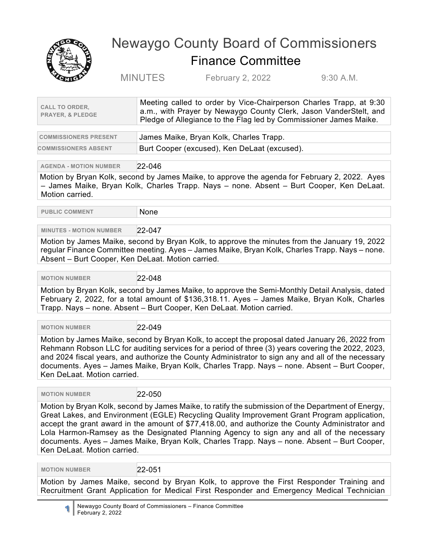

## Newaygo County Board of Commissioners Finance Committee

MINUTES February 2, 2022 9:30 A.M.

| <b>CALL TO ORDER.</b><br><b>PRAYER, &amp; PLEDGE</b> | Meeting called to order by Vice-Chairperson Charles Trapp, at 9:30<br>a.m., with Prayer by Newaygo County Clerk, Jason VanderStelt, and<br>Pledge of Allegiance to the Flag led by Commissioner James Maike. |
|------------------------------------------------------|--------------------------------------------------------------------------------------------------------------------------------------------------------------------------------------------------------------|
|                                                      |                                                                                                                                                                                                              |

| <b>COMMISSIONERS PRESENT</b> | James Maike, Bryan Kolk, Charles Trapp.      |
|------------------------------|----------------------------------------------|
| <b>COMMISSIONERS ABSENT</b>  | Burt Cooper (excused), Ken DeLaat (excused). |

**AGENDA - MOTION NUMBER** 22-046

Motion by Bryan Kolk, second by James Maike, to approve the agenda for February 2, 2022. Ayes – James Maike, Bryan Kolk, Charles Trapp. Nays – none. Absent – Burt Cooper, Ken DeLaat. Motion carried.

**PUBLIC COMMENT** None

## **MINUTES - MOTION NUMBER** 22-047

Motion by James Maike, second by Bryan Kolk, to approve the minutes from the January 19, 2022 regular Finance Committee meeting. Ayes – James Maike, Bryan Kolk, Charles Trapp. Nays – none. Absent – Burt Cooper, Ken DeLaat. Motion carried.

 **MOTION NUMBER** 22-048

Motion by Bryan Kolk, second by James Maike, to approve the Semi-Monthly Detail Analysis, dated February 2, 2022, for a total amount of \$136,318.11. Ayes – James Maike, Bryan Kolk, Charles Trapp. Nays – none. Absent – Burt Cooper, Ken DeLaat. Motion carried.

 **MOTION NUMBER** 22-049

Motion by James Maike, second by Bryan Kolk, to accept the proposal dated January 26, 2022 from Rehmann Robson LLC for auditing services for a period of three (3) years covering the 2022, 2023, and 2024 fiscal years, and authorize the County Administrator to sign any and all of the necessary documents. Ayes – James Maike, Bryan Kolk, Charles Trapp. Nays – none. Absent – Burt Cooper, Ken DeLaat. Motion carried.

 **MOTION NUMBER** 22-050

Motion by Bryan Kolk, second by James Maike, to ratify the submission of the Department of Energy, Great Lakes, and Environment (EGLE) Recycling Quality Improvement Grant Program application, accept the grant award in the amount of \$77,418.00, and authorize the County Administrator and Lola Harmon-Ramsey as the Designated Planning Agency to sign any and all of the necessary documents. Ayes – James Maike, Bryan Kolk, Charles Trapp. Nays – none. Absent – Burt Cooper, Ken DeLaat. Motion carried.

 **MOTION NUMBER** 22-051

Motion by James Maike, second by Bryan Kolk, to approve the First Responder Training and Recruitment Grant Application for Medical First Responder and Emergency Medical Technician